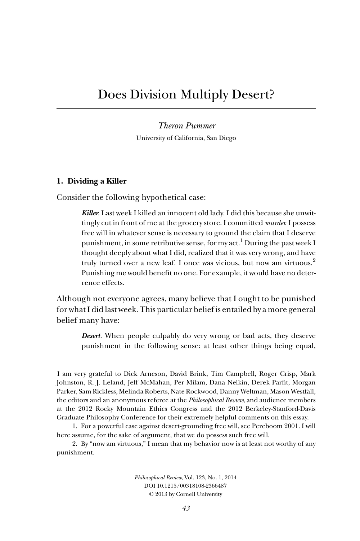# Does Division Multiply Desert?

Theron Pummer University of California, San Diego

#### 1. Dividing a Killer

Consider the following hypothetical case:

Killer. Last week I killed an innocent old lady. I did this because she unwittingly cut in front of me at the grocery store. I committed *murder*. I possess free will in whatever sense is necessary to ground the claim that I deserve punishment, in some retributive sense, for my act.<sup>1</sup> During the past week I thought deeply about what I did, realized that it was very wrong, and have truly turned over a new leaf. I once was vicious, but now am virtuous.<sup>2</sup> Punishing me would benefit no one. For example, it would have no deterrence effects.

Although not everyone agrees, many believe that I ought to be punished for what I did last week. This particular belief is entailed by a more general belief many have:

Desert. When people culpably do very wrong or bad acts, they deserve punishment in the following sense: at least other things being equal,

I am very grateful to Dick Arneson, David Brink, Tim Campbell, Roger Crisp, Mark Johnston, R. J. Leland, Jeff McMahan, Per Milam, Dana Nelkin, Derek Parfit, Morgan Parker, Sam Rickless, Melinda Roberts, Nate Rockwood, Danny Weltman, Mason Westfall, the editors and an anonymous referee at the Philosophical Review, and audience members at the 2012 Rocky Mountain Ethics Congress and the 2012 Berkeley-Stanford-Davis Graduate Philosophy Conference for their extremely helpful comments on this essay.

1. For a powerful case against desert-grounding free will, see Pereboom 2001. I will here assume, for the sake of argument, that we do possess such free will.

2. By "now am virtuous," I mean that my behavior now is at least not worthy of any punishment.

> Philosophical Review, Vol. 123, No. 1, 2014 DOI 10.1215/00318108-2366487  $@$  2013 by Cornell University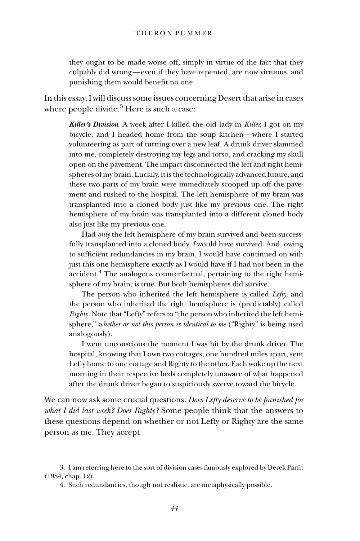they ought to be made worse off, simply in virtue of the fact that they culpably did wrong—even if they have repented, are now virtuous, and punishing them would benefit no one.

In this essay, I will discuss some issues concerning Desert that arise in cases where people divide. $3$  Here is such a case:

Killer's Division. A week after I killed the old lady in Killer, I got on my bicycle, and I headed home from the soup kitchen—where I started volunteering as part of turning over a new leaf. A drunk driver slammed into me, completely destroying my legs and torso, and cracking my skull open on the pavement. The impact disconnected the left and right hemispheres of my brain. Luckily, it is the technologically advanced future, and these two parts of my brain were immediately scooped up off the pavement and rushed to the hospital. The left hemisphere of my brain was transplanted into a cloned body just like my previous one. The right hemisphere of my brain was transplanted into a different cloned body also just like my previous one.

Had only the left hemisphere of my brain survived and been successfully transplanted into a cloned body, I would have survived. And, owing to sufficient redundancies in my brain, I would have continued on with just this one hemisphere exactly as I would have if I had not been in the accident.<sup>4</sup> The analogous counterfactual, pertaining to the right hemisphere of my brain, is true. But both hemispheres did survive.

The person who inherited the left hemisphere is called Lefty, and the person who inherited the right hemisphere is (predictably) called Righty. Note that "Lefty" refers to "the person who inherited the left hemisphere," whether or not this person is identical to me ("Righty" is being used analogously).

I went unconscious the moment I was hit by the drunk driver. The hospital, knowing that I own two cottages, one hundred miles apart, sent Lefty home to one cottage and Righty to the other. Each woke up the next morning in their respective beds completely unaware of what happened after the drunk driver began to suspiciously swerve toward the bicycle.

We can now ask some crucial questions: Does Lefty deserve to be punished for what I did last week? Does Righty? Some people think that the answers to these questions depend on whether or not Lefty or Righty are the same person as me. They accept

<sup>3.</sup> I am referring here to the sort of division cases famously explored by Derek Parfit (1984, chap. 12).

<sup>4.</sup> Such redundancies, though not realistic, are metaphysically possible.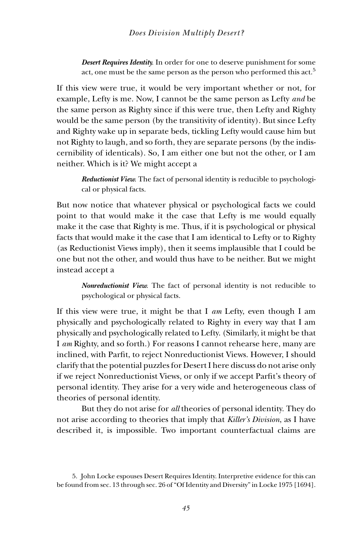# Does Division Multiply Desert?

Desert Requires Identity. In order for one to deserve punishment for some act, one must be the same person as the person who performed this act.<sup>5</sup>

If this view were true, it would be very important whether or not, for example, Lefty is me. Now, I cannot be the same person as Lefty and be the same person as Righty since if this were true, then Lefty and Righty would be the same person (by the transitivity of identity). But since Lefty and Righty wake up in separate beds, tickling Lefty would cause him but not Righty to laugh, and so forth, they are separate persons (by the indiscernibility of identicals). So, I am either one but not the other, or I am neither. Which is it? We might accept a

Reductionist View. The fact of personal identity is reducible to psychological or physical facts.

But now notice that whatever physical or psychological facts we could point to that would make it the case that Lefty is me would equally make it the case that Righty is me. Thus, if it is psychological or physical facts that would make it the case that I am identical to Lefty or to Righty (as Reductionist Views imply), then it seems implausible that I could be one but not the other, and would thus have to be neither. But we might instead accept a

Nonreductionist View. The fact of personal identity is not reducible to psychological or physical facts.

If this view were true, it might be that I  $am$  Lefty, even though I am physically and psychologically related to Righty in every way that I am physically and psychologically related to Lefty. (Similarly, it might be that I am Righty, and so forth.) For reasons I cannot rehearse here, many are inclined, with Parfit, to reject Nonreductionist Views. However, I should clarify that the potential puzzles for Desert I here discuss do not arise only if we reject Nonreductionist Views, or only if we accept Parfit's theory of personal identity. They arise for a very wide and heterogeneous class of theories of personal identity.

But they do not arise for all theories of personal identity. They do not arise according to theories that imply that Killer's Division, as I have described it, is impossible. Two important counterfactual claims are

<sup>5.</sup> John Locke espouses Desert Requires Identity. Interpretive evidence for this can be found from sec. 13 through sec. 26 of "Of Identity and Diversity" in Locke 1975 [1694].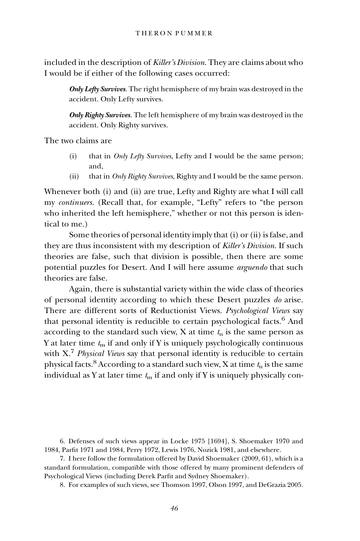included in the description of Killer's Division. They are claims about who I would be if either of the following cases occurred:

Only Lefty Survives. The right hemisphere of my brain was destroyed in the accident. Only Lefty survives.

Only Righty Survives. The left hemisphere of my brain was destroyed in the accident. Only Righty survives.

The two claims are

- (i) that in Only Lefty Survives, Lefty and I would be the same person; and,
- (ii) that in Only Righty Survives, Righty and I would be the same person.

Whenever both (i) and (ii) are true, Lefty and Righty are what I will call my continuers. (Recall that, for example, "Lefty" refers to "the person who inherited the left hemisphere," whether or not this person is identical to me.)

Some theories of personal identity imply that (i) or (ii) is false, and they are thus inconsistent with my description of Killer's Division. If such theories are false, such that division is possible, then there are some potential puzzles for Desert. And I will here assume *arguendo* that such theories are false.

Again, there is substantial variety within the wide class of theories of personal identity according to which these Desert puzzles do arise. There are different sorts of Reductionist Views. Psychological Views say that personal identity is reducible to certain psychological facts.<sup>6</sup> And according to the standard such view, X at time  $t_n$  is the same person as Y at later time  $t_m$  if and only if Y is uniquely psychologically continuous with  $X<sup>7</sup>$  Physical Views say that personal identity is reducible to certain physical facts.<sup>8</sup> According to a standard such view, X at time  $t_n$  is the same individual as Y at later time  $t_m$  if and only if Y is uniquely physically con-

<sup>6.</sup> Defenses of such views appear in Locke 1975 [1694], S. Shoemaker 1970 and 1984, Parfit 1971 and 1984, Perry 1972, Lewis 1976, Nozick 1981, and elsewhere.

<sup>7.</sup> I here follow the formulation offered by David Shoemaker (2009, 61), which is a standard formulation, compatible with those offered by many prominent defenders of Psychological Views (including Derek Parfit and Sydney Shoemaker).

<sup>8.</sup> For examples of such views, see Thomson 1997, Olson 1997, and DeGrazia 2005.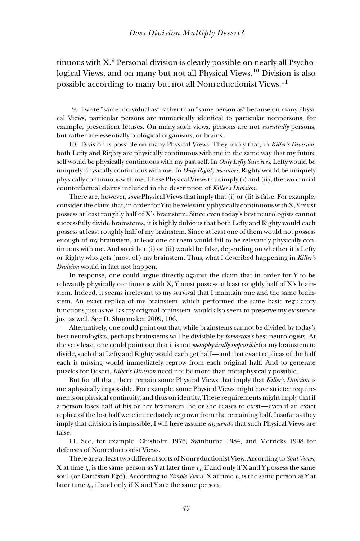tinuous with  $X<sup>9</sup>$  Personal division is clearly possible on nearly all Psychological Views, and on many but not all Physical Views.<sup>10</sup> Division is also possible according to many but not all Nonreductionist Views.<sup>11</sup>

9. I write "same individual as" rather than "same person as" because on many Physical Views, particular persons are numerically identical to particular nonpersons, for example, presentient fetuses. On many such views, persons are not essentially persons, but rather are essentially biological organisms, or brains.

10. Division is possible on many Physical Views. They imply that, in Killer's Division, both Lefty and Righty are physically continuous with me in the same way that my future self would be physically continuous with my past self. In Only Lefty Survives, Lefty would be uniquely physically continuous with me. In  $Only Rightly Survives$ , Righty would be uniquely physically continuous with me. These Physical Views thus imply (i) and (ii), the two crucial counterfactual claims included in the description of Killer's Division.

There are, however, some Physical Views that imply that (i) or (ii) is false. For example, consider the claim that, in order for Y to be relevantly physically continuous with X, Y must possess at least roughly half of X's brainstem. Since even today's best neurologists cannot successfully divide brainstems, it is highly dubious that both Lefty and Righty would each possess at least roughly half of my brainstem. Since at least one of them would not possess enough of my brainstem, at least one of them would fail to be relevantly physically continuous with me. And so either (i) or (ii) would be false, depending on whether it is Lefty or Righty who gets (most of) my brainstem. Thus, what I described happening in Killer's Division would in fact not happen.

In response, one could argue directly against the claim that in order for Y to be relevantly physically continuous with X, Y must possess at least roughly half of X's brainstem. Indeed, it seems irrelevant to my survival that I maintain one and the same brainstem. An exact replica of my brainstem, which performed the same basic regulatory functions just as well as my original brainstem, would also seem to preserve my existence just as well. See D. Shoemaker 2009, 106.

Alternatively, one could point out that, while brainstems cannot be divided by today's best neurologists, perhaps brainstems will be divisible by tomorrow's best neurologists. At the very least, one could point out that it is not metaphysically impossible for my brainstem to divide, such that Lefty and Righty would each get half—and that exact replicas of the half each is missing would immediately regrow from each original half. And to generate puzzles for Desert, Killer's Division need not be more than metaphysically possible.

But for all that, there remain some Physical Views that imply that Killer's Division is metaphysically impossible. For example, some Physical Views might have stricter requirements on physical continuity, and thus on identity. These requirements might imply that if a person loses half of his or her brainstem, he or she ceases to exist—even if an exact replica of the lost half were immediately regrown from the remaining half. Insofar as they imply that division is impossible, I will here assume *arguendo* that such Physical Views are false.

11. See, for example, Chisholm 1976, Swinburne 1984, and Merricks 1998 for defenses of Nonreductionist Views.

There are at least two different sorts of Nonreductionist View. According to Soul Views, X at time  $t_n$  is the same person as Y at later time  $t_m$  if and only if X and Y possess the same soul (or Cartesian Ego). According to *Simple Views*, X at time  $t_n$  is the same person as Y at later time  $t_m$  if and only if X and Y are the same person.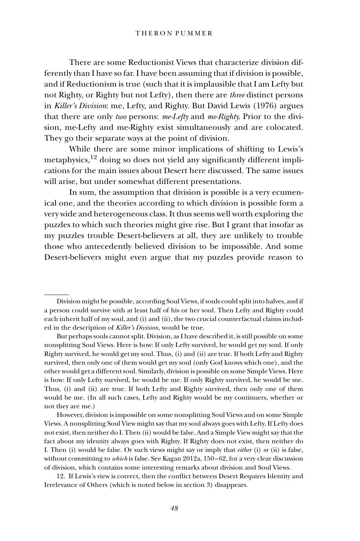There are some Reductionist Views that characterize division differently than I have so far. I have been assuming that if division is possible, and if Reductionism is true (such that it is implausible that I am Lefty but not Righty, or Righty but not Lefty), then there are *three* distinct persons in Killer's Division: me, Lefty, and Righty. But David Lewis (1976) argues that there are only two persons: me-Lefty and me-Righty. Prior to the division, me-Lefty and me-Righty exist simultaneously and are colocated. They go their separate ways at the point of division.

While there are some minor implications of shifting to Lewis's metaphysics,<sup>12</sup> doing so does not yield any significantly different implications for the main issues about Desert here discussed. The same issues will arise, but under somewhat different presentations.

In sum, the assumption that division is possible is a very ecumenical one, and the theories according to which division is possible form a very wide and heterogeneous class. It thus seems well worth exploring the puzzles to which such theories might give rise. But I grant that insofar as my puzzles trouble Desert-believers at all, they are unlikely to trouble those who antecedently believed division to be impossible. And some Desert-believers might even argue that my puzzles provide reason to

However, division is impossible on some nonsplitting Soul Views and on some Simple Views. A nonsplitting Soul View might say that my soul always goes with Lefty. If Lefty does not exist, then neither do I. Then (ii) would be false. And a Simple View might say that the fact about my identity always goes with Righty. If Righty does not exist, then neither do I. Then (i) would be false. Or such views might say or imply that  $\emph{either}$  (i) or (ii) is false, without committing to which is false. See Kagan 2012a, 150-62, for a very clear discussion of division, which contains some interesting remarks about division and Soul Views.

12. If Lewis's view is correct, then the conflict between Desert Requires Identity and Irrelevance of Others (which is noted below in section 3) disappears.

Division might be possible, according Soul Views, if souls could split into halves, and if a person could survive with at least half of his or her soul. Then Lefty and Righty could each inherit half of my soul, and (i) and (ii), the two crucial counterfactual claims included in the description of Killer's Division, would be true.

But perhaps souls cannot split. Division, as I have described it, is still possible on some nonsplitting Soul Views. Here is how: If only Lefty survived, he would get my soul. If only Righty survived, he would get my soul. Thus, (i) and (ii) are true. If both Lefty and Righty survived, then only one of them would get my soul (only God knows which one), and the other would get a different soul. Similarly, division is possible on some Simple Views. Here is how: If only Lefty survived, he would be me. If only Righty survived, he would be me. Thus, (i) and (ii) are true. If both Lefty and Righty survived, then only one of them would be me. (In all such cases, Lefty and Righty would be my continuers, whether or not they are me.)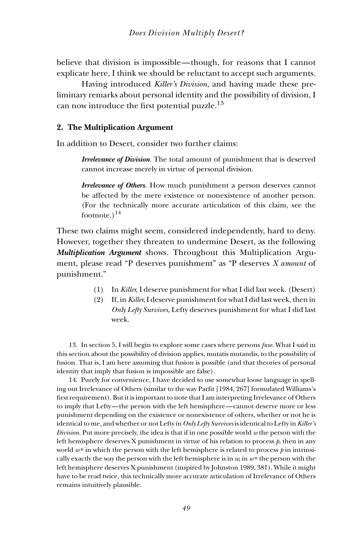believe that division is impossible—though, for reasons that I cannot explicate here, I think we should be reluctant to accept such arguments.

Having introduced Killer's Division, and having made these preliminary remarks about personal identity and the possibility of division, I can now introduce the first potential puzzle.<sup>13</sup>

# 2. The Multiplication Argument

In addition to Desert, consider two further claims:

Irrelevance of Division. The total amount of punishment that is deserved cannot increase merely in virtue of personal division.

Irrelevance of Others. How much punishment a person deserves cannot be affected by the mere existence or nonexistence of another person. (For the technically more accurate articulation of this claim, see the footnote.) $^{14}$ 

These two claims might seem, considered independently, hard to deny. However, together they threaten to undermine Desert, as the following Multiplication Argument shows. Throughout this Multiplication Argument, please read "P deserves punishment" as "P deserves X amount of punishment."

- (1) In Killer, I deserve punishment for what I did last week. (Desert)
- (2) If, in Killer, I deserve punishment for what I did last week, then in Only Lefty Survives, Lefty deserves punishment for what I did last week.

13. In section 5, I will begin to explore some cases where persons fuse. What I said in this section about the possibility of division applies, mutatis mutandis, to the possibility of fusion. That is, I am here assuming that fusion is possible (and that theories of personal identity that imply that fusion is impossible are false).

14. Purely for convenience, I have decided to use somewhat loose language in spelling out Irrelevance of Others (similar to the way Parfit [1984, 267] formulated Williams's first requirement). But it is important to note that I am interpreting Irrelevance of Others to imply that Lefty—the person with the left hemisphere—cannot deserve more or less punishment depending on the existence or nonexistence of others, whether or not he is identical to me, and whether or not Lefty in Only Lefty Survives is identical to Lefty in Killer's Division. Put more precisely, the idea is that if in one possible world  $w$  the person with the left hemisphere deserves X punishment in virtue of his relation to process  $\phi$ , then in any world  $w^*$  in which the person with the left hemisphere is related to process  $\phi$  in intrinsically exactly the way the person with the left hemisphere is in  $w$ , in  $w^*$  the person with the left hemisphere deserves X punishment (inspired by Johnston 1989, 381). While it might have to be read twice, this technically more accurate articulation of Irrelevance of Others remains intuitively plausible.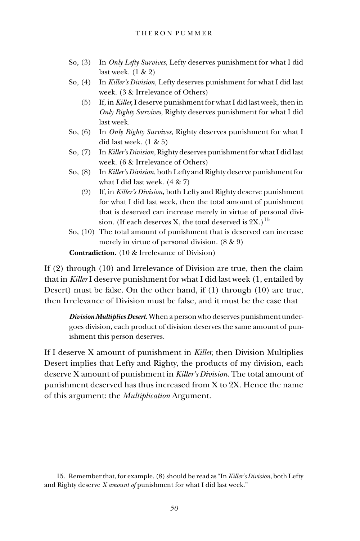- So, (3) In Only Lefty Survives, Lefty deserves punishment for what I did last week. (1 & 2)
- So, (4) In Killer's Division, Lefty deserves punishment for what I did last week. (3 & Irrelevance of Others)
	- (5) If, in Killer, I deserve punishment for what I did last week, then in Only Righty Survives, Righty deserves punishment for what I did last week.
- So, (6) In Only Righty Survives, Righty deserves punishment for what I did last week. (1 & 5)
- So, (7) In Killer's Division, Righty deserves punishment for what I did last week. (6 & Irrelevance of Others)
- So, (8) In Killer's Division, both Lefty and Righty deserve punishment for what I did last week. (4 & 7)
	- (9) If, in Killer's Division, both Lefty and Righty deserve punishment for what I did last week, then the total amount of punishment that is deserved can increase merely in virtue of personal division. (If each deserves X, the total deserved is  $2X$ .)<sup>15</sup>
- So, (10) The total amount of punishment that is deserved can increase merely in virtue of personal division. (8 & 9)

Contradiction. (10 & Irrelevance of Division)

If (2) through (10) and Irrelevance of Division are true, then the claim that in Killer I deserve punishment for what I did last week (1, entailed by Desert) must be false. On the other hand, if (1) through (10) are true, then Irrelevance of Division must be false, and it must be the case that

Division Multiplies Desert. When a person who deserves punishment undergoes division, each product of division deserves the same amount of punishment this person deserves.

If I deserve X amount of punishment in Killer, then Division Multiplies Desert implies that Lefty and Righty, the products of my division, each deserve X amount of punishment in Killer's Division. The total amount of punishment deserved has thus increased from X to 2X. Hence the name of this argument: the Multiplication Argument.

<sup>15.</sup> Remember that, for example, (8) should be read as "In Killer's Division, both Lefty and Righty deserve X amount of punishment for what I did last week."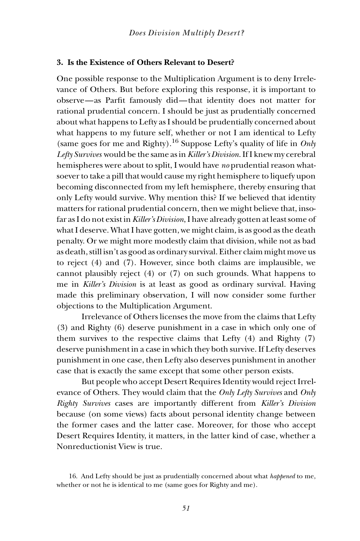### 3. Is the Existence of Others Relevant to Desert?

One possible response to the Multiplication Argument is to deny Irrelevance of Others. But before exploring this response, it is important to observe—as Parfit famously did—that identity does not matter for rational prudential concern. I should be just as prudentially concerned about what happens to Lefty as I should be prudentially concerned about what happens to my future self, whether or not I am identical to Lefty (same goes for me and Righty).<sup>16</sup> Suppose Lefty's quality of life in *Only* Lefty Survives would be the same as in Killer's Division. If I knew my cerebral hemispheres were about to split, I would have no prudential reason whatsoever to take a pill that would cause my right hemisphere to liquefy upon becoming disconnected from my left hemisphere, thereby ensuring that only Lefty would survive. Why mention this? If we believed that identity matters for rational prudential concern, then we might believe that, insofar as I do not exist in Killer's Division, I have already gotten at least some of what I deserve. What I have gotten, we might claim, is as good as the death penalty. Or we might more modestly claim that division, while not as bad as death, still isn't as good as ordinary survival. Either claim might move us to reject (4) and (7). However, since both claims are implausible, we cannot plausibly reject (4) or (7) on such grounds. What happens to me in Killer's Division is at least as good as ordinary survival. Having made this preliminary observation, I will now consider some further objections to the Multiplication Argument.

Irrelevance of Others licenses the move from the claims that Lefty (3) and Righty (6) deserve punishment in a case in which only one of them survives to the respective claims that Lefty (4) and Righty (7) deserve punishment in a case in which they both survive. If Lefty deserves punishment in one case, then Lefty also deserves punishment in another case that is exactly the same except that some other person exists.

But people who accept Desert Requires Identity would reject Irrelevance of Others. They would claim that the Only Lefty Survives and Only Righty Survives cases are importantly different from Killer's Division because (on some views) facts about personal identity change between the former cases and the latter case. Moreover, for those who accept Desert Requires Identity, it matters, in the latter kind of case, whether a Nonreductionist View is true.

<sup>16.</sup> And Lefty should be just as prudentially concerned about what happened to me, whether or not he is identical to me (same goes for Righty and me).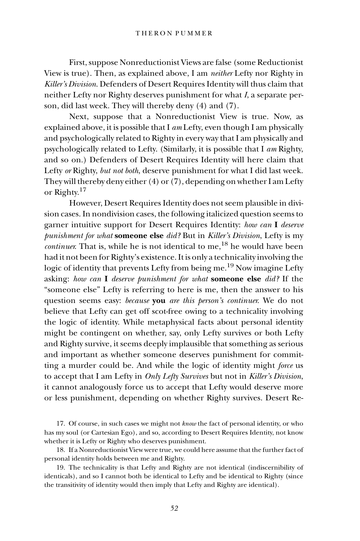First, suppose Nonreductionist Views are false (some Reductionist View is true). Then, as explained above, I am neither Lefty nor Righty in Killer's Division. Defenders of Desert Requires Identity will thus claim that neither Lefty nor Righty deserves punishment for what  $I$ , a separate person, did last week. They will thereby deny (4) and (7).

Next, suppose that a Nonreductionist View is true. Now, as explained above, it is possible that I am Lefty, even though I am physically and psychologically related to Righty in every way that I am physically and psychologically related to Lefty. (Similarly, it is possible that I am Righty, and so on.) Defenders of Desert Requires Identity will here claim that Lefty or Righty, but not both, deserve punishment for what I did last week. They will thereby deny either (4) or (7), depending on whether I am Lefty or Righty.<sup>17</sup>

However, Desert Requires Identity does not seem plausible in division cases. In nondivision cases, the following italicized question seems to garner intuitive support for Desert Requires Identity: how can I deserve punishment for what someone else did? But in Killer's Division, Lefty is my *continuer*. That is, while he is not identical to me,<sup>18</sup> he would have been had it not been for Righty's existence. It is only a technicality involving the logic of identity that prevents Lefty from being me.<sup>19</sup> Now imagine Lefty asking: how can I deserve punishment for what someone else did? If the "someone else" Lefty is referring to here is me, then the answer to his question seems easy: because you are this person's continuer. We do not believe that Lefty can get off scot-free owing to a technicality involving the logic of identity. While metaphysical facts about personal identity might be contingent on whether, say, only Lefty survives or both Lefty and Righty survive, it seems deeply implausible that something as serious and important as whether someone deserves punishment for committing a murder could be. And while the logic of identity might force us to accept that I am Lefty in Only Lefty Survives but not in Killer's Division, it cannot analogously force us to accept that Lefty would deserve more or less punishment, depending on whether Righty survives. Desert Re-

17. Of course, in such cases we might not know the fact of personal identity, or who has my soul (or Cartesian Ego), and so, according to Desert Requires Identity, not know whether it is Lefty or Righty who deserves punishment.

18. If a Nonreductionist View were true, we could here assume that the further fact of personal identity holds between me and Righty.

19. The technicality is that Lefty and Righty are not identical (indiscernibility of identicals), and so I cannot both be identical to Lefty and be identical to Righty (since the transitivity of identity would then imply that Lefty and Righty are identical).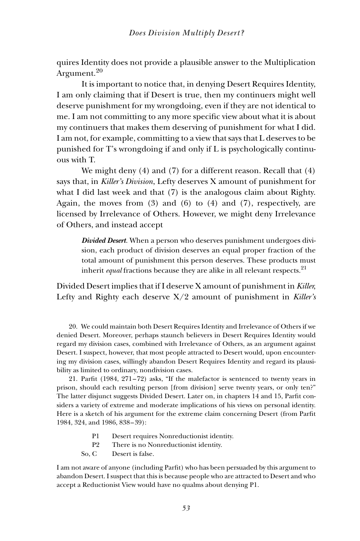quires Identity does not provide a plausible answer to the Multiplication Argument.<sup>20</sup>

It is important to notice that, in denying Desert Requires Identity, I am only claiming that if Desert is true, then my continuers might well deserve punishment for my wrongdoing, even if they are not identical to me. I am not committing to any more specific view about what it is about my continuers that makes them deserving of punishment for what I did. I am not, for example, committing to a view that says that L deserves to be punished for T's wrongdoing if and only if L is psychologically continuous with T.

We might deny (4) and (7) for a different reason. Recall that (4) says that, in Killer's Division, Lefty deserves X amount of punishment for what I did last week and that (7) is the analogous claim about Righty. Again, the moves from  $(3)$  and  $(6)$  to  $(4)$  and  $(7)$ , respectively, are licensed by Irrelevance of Others. However, we might deny Irrelevance of Others, and instead accept

Divided Desert. When a person who deserves punishment undergoes division, each product of division deserves an equal proper fraction of the total amount of punishment this person deserves. These products must inherit equal fractions because they are alike in all relevant respects. $21$ 

Divided Desert implies that if I deserve X amount of punishment in Killer, Lefty and Righty each deserve  $X/2$  amount of punishment in Killer's

20. We could maintain both Desert Requires Identity and Irrelevance of Others if we denied Desert. Moreover, perhaps staunch believers in Desert Requires Identity would regard my division cases, combined with Irrelevance of Others, as an argument against Desert. I suspect, however, that most people attracted to Desert would, upon encountering my division cases, willingly abandon Desert Requires Identity and regard its plausibility as limited to ordinary, nondivision cases.

21. Parfit (1984, 271–72) asks, "If the malefactor is sentenced to twenty years in prison, should each resulting person [from division] serve twenty years, or only ten?" The latter disjunct suggests Divided Desert. Later on, in chapters 14 and 15, Parfit considers a variety of extreme and moderate implications of his views on personal identity. Here is a sketch of his argument for the extreme claim concerning Desert (from Parfit 1984, 324, and 1986, 838–39):

- P1 Desert requires Nonreductionist identity.
- P2 There is no Nonreductionist identity.
- So, C Desert is false.

I am not aware of anyone (including Parfit) who has been persuaded by this argument to abandon Desert. I suspect that this is because people who are attracted to Desert and who accept a Reductionist View would have no qualms about denying P1.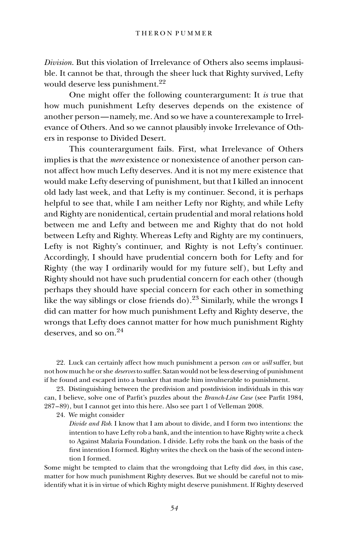Division. But this violation of Irrelevance of Others also seems implausible. It cannot be that, through the sheer luck that Righty survived, Lefty would deserve less punishment.<sup>22</sup>

One might offer the following counterargument: It is true that how much punishment Lefty deserves depends on the existence of another person—namely, me. And so we have a counterexample to Irrelevance of Others. And so we cannot plausibly invoke Irrelevance of Others in response to Divided Desert.

This counterargument fails. First, what Irrelevance of Others implies is that the mere existence or nonexistence of another person cannot affect how much Lefty deserves. And it is not my mere existence that would make Lefty deserving of punishment, but that I killed an innocent old lady last week, and that Lefty is my continuer. Second, it is perhaps helpful to see that, while I am neither Lefty nor Righty, and while Lefty and Righty are nonidentical, certain prudential and moral relations hold between me and Lefty and between me and Righty that do not hold between Lefty and Righty. Whereas Lefty and Righty are my continuers, Lefty is not Righty's continuer, and Righty is not Lefty's continuer. Accordingly, I should have prudential concern both for Lefty and for Righty (the way I ordinarily would for my future self), but Lefty and Righty should not have such prudential concern for each other (though perhaps they should have special concern for each other in something like the way siblings or close friends do).<sup>23</sup> Similarly, while the wrongs I did can matter for how much punishment Lefty and Righty deserve, the wrongs that Lefty does cannot matter for how much punishment Righty deserves, and so on. $24$ 

22. Luck can certainly affect how much punishment a person can or will suffer, but not how much he or she *deserves* to suffer. Satan would not be less deserving of punishment if he found and escaped into a bunker that made him invulnerable to punishment.

23. Distinguishing between the predivision and postdivision individuals in this way can, I believe, solve one of Parfit's puzzles about the Branch-Line Case (see Parfit 1984, 287–89), but I cannot get into this here. Also see part 1 of Velleman 2008.

24. We might consider

Divide and Rob. I know that I am about to divide, and I form two intentions: the intention to have Lefty rob a bank, and the intention to have Righty write a check to Against Malaria Foundation. I divide. Lefty robs the bank on the basis of the first intention I formed. Righty writes the check on the basis of the second intention I formed.

Some might be tempted to claim that the wrongdoing that Lefty did does, in this case, matter for how much punishment Righty deserves. But we should be careful not to misidentify what it is in virtue of which Righty might deserve punishment. If Righty deserved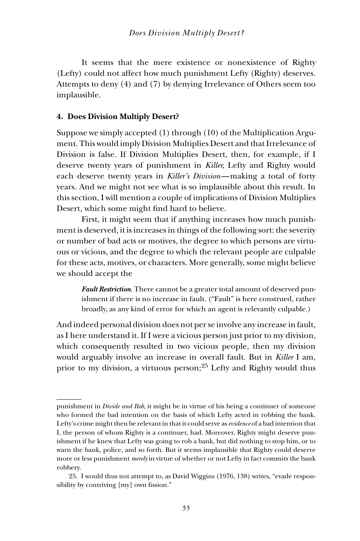It seems that the mere existence or nonexistence of Righty (Lefty) could not affect how much punishment Lefty (Righty) deserves. Attempts to deny (4) and (7) by denying Irrelevance of Others seem too implausible.

# 4. Does Division Multiply Desert?

Suppose we simply accepted (1) through (10) of the Multiplication Argument. This would imply Division Multiplies Desert and that Irrelevance of Division is false. If Division Multiplies Desert, then, for example, if I deserve twenty years of punishment in Killer, Lefty and Righty would each deserve twenty years in Killer's Division—making a total of forty years. And we might not see what is so implausible about this result. In this section, I will mention a couple of implications of Division Multiplies Desert, which some might find hard to believe.

First, it might seem that if anything increases how much punishment is deserved, it is increases in things of the following sort: the severity or number of bad acts or motives, the degree to which persons are virtuous or vicious, and the degree to which the relevant people are culpable for these acts, motives, or characters. More generally, some might believe we should accept the

Fault Restriction. There cannot be a greater total amount of deserved punishment if there is no increase in fault. ("Fault" is here construed, rather broadly, as any kind of error for which an agent is relevantly culpable.)

And indeed personal division does not per se involve any increase in fault, as I here understand it. If I were a vicious person just prior to my division, which consequently resulted in two vicious people, then my division would arguably involve an increase in overall fault. But in Killer I am, prior to my division, a virtuous person; $25$  Lefty and Righty would thus

punishment in Divide and Rob, it might be in virtue of his being a continuer of someone who formed the bad intention on the basis of which Lefty acted in robbing the bank. Lefty's crime might then be relevant in that it could serve as *evidence* of a bad intention that I, the person of whom Righty is a continuer, had. Moreover, Righty might deserve punishment if he knew that Lefty was going to rob a bank, but did nothing to stop him, or to warn the bank, police, and so forth. But it seems implausible that Righty could deserve more or less punishment merely in virtue of whether or not Lefty in fact commits the bank robbery.

<sup>25.</sup> I would thus not attempt to, as David Wiggins (1976, 138) writes, "evade responsibility by contriving [my] own fission."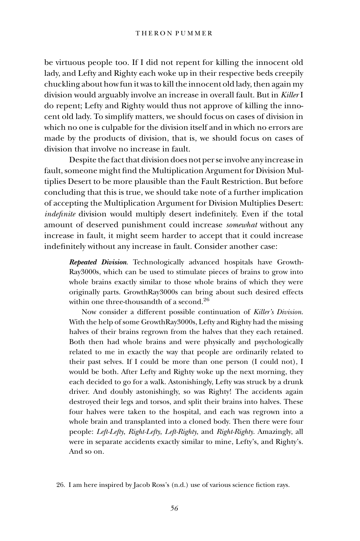be virtuous people too. If I did not repent for killing the innocent old lady, and Lefty and Righty each woke up in their respective beds creepily chuckling about how fun it was to kill the innocent old lady, then again my division would arguably involve an increase in overall fault. But in Killer I do repent; Lefty and Righty would thus not approve of killing the innocent old lady. To simplify matters, we should focus on cases of division in which no one is culpable for the division itself and in which no errors are made by the products of division, that is, we should focus on cases of division that involve no increase in fault.

Despite the fact that division does not per se involve any increase in fault, someone might find the Multiplication Argument for Division Multiplies Desert to be more plausible than the Fault Restriction. But before concluding that this is true, we should take note of a further implication of accepting the Multiplication Argument for Division Multiplies Desert: indefinite division would multiply desert indefinitely. Even if the total amount of deserved punishment could increase somewhat without any increase in fault, it might seem harder to accept that it could increase indefinitely without any increase in fault. Consider another case:

Repeated Division. Technologically advanced hospitals have Growth-Ray3000s, which can be used to stimulate pieces of brains to grow into whole brains exactly similar to those whole brains of which they were originally parts. GrowthRay3000s can bring about such desired effects within one three-thousandth of a second.<sup>26</sup>

Now consider a different possible continuation of Killer's Division. With the help of some GrowthRay3000s, Lefty and Righty had the missing halves of their brains regrown from the halves that they each retained. Both then had whole brains and were physically and psychologically related to me in exactly the way that people are ordinarily related to their past selves. If I could be more than one person (I could not), I would be both. After Lefty and Righty woke up the next morning, they each decided to go for a walk. Astonishingly, Lefty was struck by a drunk driver. And doubly astonishingly, so was Righty! The accidents again destroyed their legs and torsos, and split their brains into halves. These four halves were taken to the hospital, and each was regrown into a whole brain and transplanted into a cloned body. Then there were four people: Left-Lefty, Right-Lefty, Left-Righty, and Right-Righty. Amazingly, all were in separate accidents exactly similar to mine, Lefty's, and Righty's. And so on.

26. I am here inspired by Jacob Ross's (n.d.) use of various science fiction rays.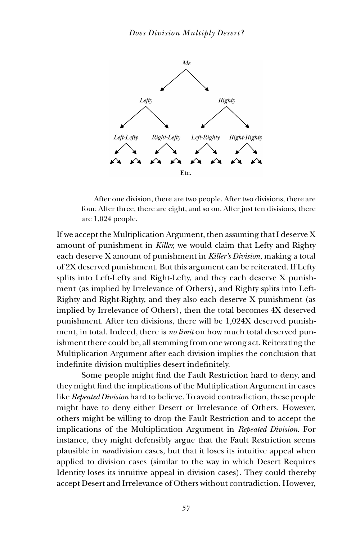

After one division, there are two people. After two divisions, there are four. After three, there are eight, and so on. After just ten divisions, there are 1,024 people.

If we accept the Multiplication Argument, then assuming that I deserve X amount of punishment in Killer, we would claim that Lefty and Righty each deserve X amount of punishment in Killer's Division, making a total of 2X deserved punishment. But this argument can be reiterated. If Lefty splits into Left-Lefty and Right-Lefty, and they each deserve X punishment (as implied by Irrelevance of Others), and Righty splits into Left-Righty and Right-Righty, and they also each deserve X punishment (as implied by Irrelevance of Others), then the total becomes 4X deserved punishment. After ten divisions, there will be 1,024X deserved punishment, in total. Indeed, there is no limit on how much total deserved punishment there could be, all stemming from one wrong act. Reiterating the Multiplication Argument after each division implies the conclusion that indefinite division multiplies desert indefinitely.

Some people might find the Fault Restriction hard to deny, and they might find the implications of the Multiplication Argument in cases like Repeated Division hard to believe. To avoid contradiction, these people might have to deny either Desert or Irrelevance of Others. However, others might be willing to drop the Fault Restriction and to accept the implications of the Multiplication Argument in Repeated Division. For instance, they might defensibly argue that the Fault Restriction seems plausible in nondivision cases, but that it loses its intuitive appeal when applied to division cases (similar to the way in which Desert Requires Identity loses its intuitive appeal in division cases). They could thereby accept Desert and Irrelevance of Others without contradiction. However,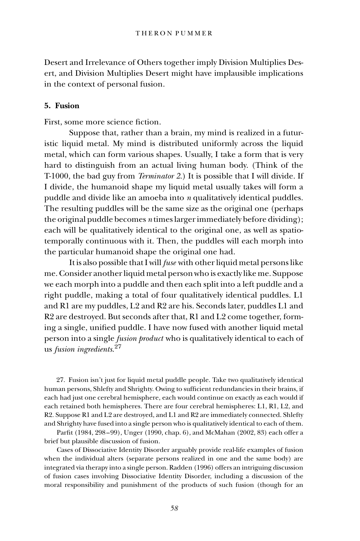Desert and Irrelevance of Others together imply Division Multiplies Desert, and Division Multiplies Desert might have implausible implications in the context of personal fusion.

# 5. Fusion

First, some more science fiction.

Suppose that, rather than a brain, my mind is realized in a futuristic liquid metal. My mind is distributed uniformly across the liquid metal, which can form various shapes. Usually, I take a form that is very hard to distinguish from an actual living human body. (Think of the T-1000, the bad guy from Terminator 2.) It is possible that I will divide. If I divide, the humanoid shape my liquid metal usually takes will form a puddle and divide like an amoeba into  $n$  qualitatively identical puddles. The resulting puddles will be the same size as the original one (perhaps the original puddle becomes n times larger immediately before dividing); each will be qualitatively identical to the original one, as well as spatiotemporally continuous with it. Then, the puddles will each morph into the particular humanoid shape the original one had.

It is also possible that I will fuse with other liquid metal persons like me. Consider another liquid metal person who is exactly like me. Suppose we each morph into a puddle and then each split into a left puddle and a right puddle, making a total of four qualitatively identical puddles. L1 and R1 are my puddles, L2 and R2 are his. Seconds later, puddles L1 and R2 are destroyed. But seconds after that, R1 and L2 come together, forming a single, unified puddle. I have now fused with another liquid metal person into a single fusion product who is qualitatively identical to each of us *fusion ingredients.<sup>27</sup>* 

27. Fusion isn't just for liquid metal puddle people. Take two qualitatively identical human persons, Shlefty and Shrighty. Owing to sufficient redundancies in their brains, if each had just one cerebral hemisphere, each would continue on exactly as each would if each retained both hemispheres. There are four cerebral hemispheres: L1, R1, L2, and R2. Suppose R1 and L2 are destroyed, and L1 and R2 are immediately connected. Shlefty and Shrighty have fused into a single person who is qualitatively identical to each of them.

Parfit (1984, 298–99), Unger (1990, chap. 6), and McMahan (2002, 83) each offer a brief but plausible discussion of fusion.

Cases of Dissociative Identity Disorder arguably provide real-life examples of fusion when the individual alters (separate persons realized in one and the same body) are integrated via therapy into a single person. Radden (1996) offers an intriguing discussion of fusion cases involving Dissociative Identity Disorder, including a discussion of the moral responsibility and punishment of the products of such fusion (though for an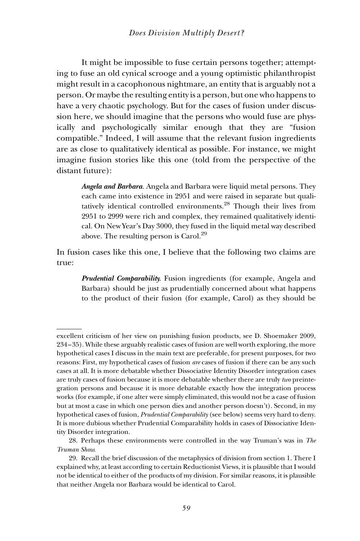It might be impossible to fuse certain persons together; attempting to fuse an old cynical scrooge and a young optimistic philanthropist might result in a cacophonous nightmare, an entity that is arguably not a person. Or maybe the resulting entity is a person, but one who happens to have a very chaotic psychology. But for the cases of fusion under discussion here, we should imagine that the persons who would fuse are physically and psychologically similar enough that they are "fusion compatible." Indeed, I will assume that the relevant fusion ingredients are as close to qualitatively identical as possible. For instance, we might imagine fusion stories like this one (told from the perspective of the distant future):

Angela and Barbara. Angela and Barbara were liquid metal persons. They each came into existence in 2951 and were raised in separate but qualitatively identical controlled environments.<sup>28</sup> Though their lives from 2951 to 2999 were rich and complex, they remained qualitatively identical. On New Year's Day 3000, they fused in the liquid metal way described above. The resulting person is  $\text{Carol.}^{29}$ 

In fusion cases like this one, I believe that the following two claims are true:

Prudential Comparability. Fusion ingredients (for example, Angela and Barbara) should be just as prudentially concerned about what happens to the product of their fusion (for example, Carol) as they should be

excellent criticism of her view on punishing fusion products, see D. Shoemaker 2009, 234–35). While these arguably realistic cases of fusion are well worth exploring, the more hypothetical cases I discuss in the main text are preferable, for present purposes, for two reasons: First, my hypothetical cases of fusion are cases of fusion if there can be any such cases at all. It is more debatable whether Dissociative Identity Disorder integration cases are truly cases of fusion because it is more debatable whether there are truly two preintegration persons and because it is more debatable exactly how the integration process works (for example, if one alter were simply eliminated, this would not be a case of fusion but at most a case in which one person dies and another person doesn't). Second, in my hypothetical cases of fusion, Prudential Comparability (see below) seems very hard to deny. It is more dubious whether Prudential Comparability holds in cases of Dissociative Identity Disorder integration.

<sup>28.</sup> Perhaps these environments were controlled in the way Truman's was in The Truman Show.

<sup>29.</sup> Recall the brief discussion of the metaphysics of division from section 1. There I explained why, at least according to certain Reductionist Views, it is plausible that I would not be identical to either of the products of my division. For similar reasons, it is plausible that neither Angela nor Barbara would be identical to Carol.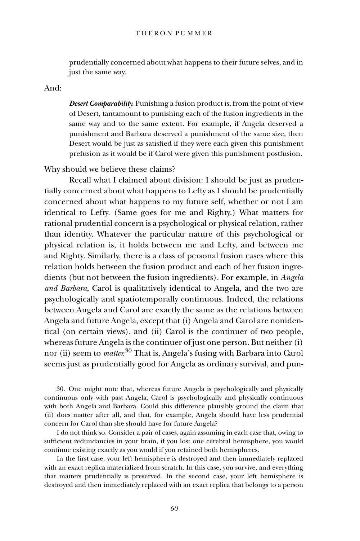prudentially concerned about what happens to their future selves, and in just the same way.

And:

Desert Comparability. Punishing a fusion product is, from the point of view of Desert, tantamount to punishing each of the fusion ingredients in the same way and to the same extent. For example, if Angela deserved a punishment and Barbara deserved a punishment of the same size, then Desert would be just as satisfied if they were each given this punishment prefusion as it would be if Carol were given this punishment postfusion.

Why should we believe these claims?

Recall what I claimed about division: I should be just as prudentially concerned about what happens to Lefty as I should be prudentially concerned about what happens to my future self, whether or not I am identical to Lefty. (Same goes for me and Righty.) What matters for rational prudential concern is a psychological or physical relation, rather than identity. Whatever the particular nature of this psychological or physical relation is, it holds between me and Lefty, and between me and Righty. Similarly, there is a class of personal fusion cases where this relation holds between the fusion product and each of her fusion ingredients (but not between the fusion ingredients). For example, in Angela and Barbara, Carol is qualitatively identical to Angela, and the two are psychologically and spatiotemporally continuous. Indeed, the relations between Angela and Carol are exactly the same as the relations between Angela and future Angela, except that (i) Angela and Carol are nonidentical (on certain views), and (ii) Carol is the continuer of two people, whereas future Angela is the continuer of just one person. But neither (i) nor (ii) seem to *matte*r.<sup>30</sup> That is, Angela's fusing with Barbara into Carol seems just as prudentially good for Angela as ordinary survival, and pun-

30. One might note that, whereas future Angela is psychologically and physically continuous only with past Angela, Carol is psychologically and physically continuous with both Angela and Barbara. Could this difference plausibly ground the claim that (ii) does matter after all, and that, for example, Angela should have less prudential concern for Carol than she should have for future Angela?

I do not think so. Consider a pair of cases, again assuming in each case that, owing to sufficient redundancies in your brain, if you lost one cerebral hemisphere, you would continue existing exactly as you would if you retained both hemispheres.

In the first case, your left hemisphere is destroyed and then immediately replaced with an exact replica materialized from scratch. In this case, you survive, and everything that matters prudentially is preserved. In the second case, your left hemisphere is destroyed and then immediately replaced with an exact replica that belongs to a person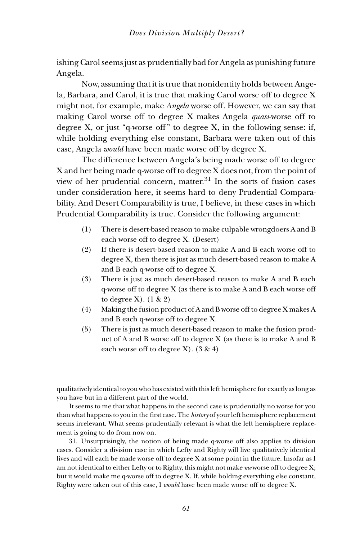ishing Carol seems just as prudentially bad for Angela as punishing future Angela.

Now, assuming that it is true that nonidentity holds between Angela, Barbara, and Carol, it is true that making Carol worse off to degree X might not, for example, make Angela worse off. However, we can say that making Carol worse off to degree X makes Angela quasi-worse off to degree X, or just "q-worse off" to degree X, in the following sense: if, while holding everything else constant, Barbara were taken out of this case, Angela would have been made worse off by degree X.

The difference between Angela's being made worse off to degree X and her being made q-worse off to degree X does not, from the point of view of her prudential concern, matter.<sup>31</sup> In the sorts of fusion cases under consideration here, it seems hard to deny Prudential Comparability. And Desert Comparability is true, I believe, in these cases in which Prudential Comparability is true. Consider the following argument:

- (1) There is desert-based reason to make culpable wrongdoers A and B each worse off to degree X. (Desert)
- (2) If there is desert-based reason to make A and B each worse off to degree X, then there is just as much desert-based reason to make A and B each q-worse off to degree X.
- (3) There is just as much desert-based reason to make A and B each q-worse off to degree X (as there is to make A and B each worse off to degree X).  $(1 \& 2)$
- (4) Making the fusion product of A and B worse off to degree X makes A and B each q-worse off to degree X.
- (5) There is just as much desert-based reason to make the fusion product of A and B worse off to degree X (as there is to make A and B each worse off to degree X). (3 & 4)

qualitatively identical to you who has existed with this left hemisphere for exactly as long as you have but in a different part of the world.

It seems to me that what happens in the second case is prudentially no worse for you than what happens to you in the first case. The history of your left hemisphere replacement seems irrelevant. What seems prudentially relevant is what the left hemisphere replacement is going to do from now on.

<sup>31.</sup> Unsurprisingly, the notion of being made q-worse off also applies to division cases. Consider a division case in which Lefty and Righty will live qualitatively identical lives and will each be made worse off to degree X at some point in the future. Insofar as I am not identical to either Lefty or to Righty, this might not make meworse off to degree X; but it would make me q-worse off to degree X. If, while holding everything else constant, Righty were taken out of this case, I would have been made worse off to degree X.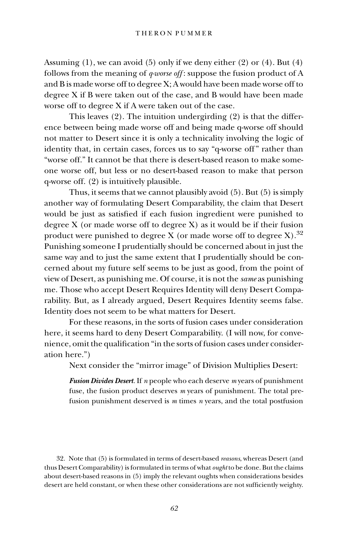Assuming  $(1)$ , we can avoid  $(5)$  only if we deny either  $(2)$  or  $(4)$ . But  $(4)$ follows from the meaning of *q-worse off*: suppose the fusion product of A and B is made worse off to degree X; A would have been made worse off to degree X if B were taken out of the case, and B would have been made worse off to degree X if A were taken out of the case.

This leaves (2). The intuition undergirding (2) is that the difference between being made worse off and being made q-worse off should not matter to Desert since it is only a technicality involving the logic of identity that, in certain cases, forces us to say "q-worse off" rather than "worse off." It cannot be that there is desert-based reason to make someone worse off, but less or no desert-based reason to make that person q-worse off. (2) is intuitively plausible.

Thus, it seems that we cannot plausibly avoid (5). But (5) is simply another way of formulating Desert Comparability, the claim that Desert would be just as satisfied if each fusion ingredient were punished to degree X (or made worse off to degree X) as it would be if their fusion product were punished to degree X (or made worse off to degree X).<sup>32</sup> Punishing someone I prudentially should be concerned about in just the same way and to just the same extent that I prudentially should be concerned about my future self seems to be just as good, from the point of view of Desert, as punishing me. Of course, it is not the same as punishing me. Those who accept Desert Requires Identity will deny Desert Comparability. But, as I already argued, Desert Requires Identity seems false. Identity does not seem to be what matters for Desert.

For these reasons, in the sorts of fusion cases under consideration here, it seems hard to deny Desert Comparability. (I will now, for convenience, omit the qualification "in the sorts of fusion cases under consideration here.")

Next consider the "mirror image" of Division Multiplies Desert:

**Fusion Divides Desert.** If  $n$  people who each deserve  $m$  years of punishment fuse, the fusion product deserves m years of punishment. The total prefusion punishment deserved is  $m$  times  $n$  years, and the total postfusion

32. Note that (5) is formulated in terms of desert-based reasons, whereas Desert (and thus Desert Comparability) is formulated in terms of what *ought* to be done. But the claims about desert-based reasons in (5) imply the relevant oughts when considerations besides desert are held constant, or when these other considerations are not sufficiently weighty.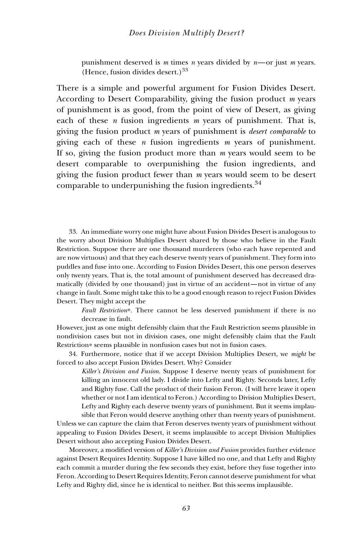punishment deserved is  $m$  times  $n$  years divided by  $n$ —or just  $m$  years. (Hence, fusion divides desert.)<sup>33</sup>

There is a simple and powerful argument for Fusion Divides Desert. According to Desert Comparability, giving the fusion product  $m$  years of punishment is as good, from the point of view of Desert, as giving each of these *n* fusion ingredients  $m$  years of punishment. That is, giving the fusion product m years of punishment is desert comparable to giving each of these  $n$  fusion ingredients  $m$  years of punishment. If so, giving the fusion product more than  $m$  years would seem to be desert comparable to overpunishing the fusion ingredients, and giving the fusion product fewer than m years would seem to be desert comparable to underpunishing the fusion ingredients.34

33. An immediate worry one might have about Fusion Divides Desert is analogous to the worry about Division Multiplies Desert shared by those who believe in the Fault Restriction. Suppose there are one thousand murderers (who each have repented and are now virtuous) and that they each deserve twenty years of punishment. They form into puddles and fuse into one. According to Fusion Divides Desert, this one person deserves only twenty years. That is, the total amount of punishment deserved has decreased dramatically (divided by one thousand) just in virtue of an accident—not in virtue of any change in fault. Some might take this to be a good enough reason to reject Fusion Divides Desert. They might accept the

Fault Restriction\*. There cannot be less deserved punishment if there is no decrease in fault.

However, just as one might defensibly claim that the Fault Restriction seems plausible in nondivision cases but not in division cases, one might defensibly claim that the Fault Restriction\* seems plausible in nonfusion cases but not in fusion cases.

34. Furthermore, notice that if we accept Division Multiplies Desert, we might be forced to also accept Fusion Divides Desert. Why? Consider

Killer's Division and Fusion. Suppose I deserve twenty years of punishment for killing an innocent old lady. I divide into Lefty and Righty. Seconds later, Lefty and Righty fuse. Call the product of their fusion Feron. (I will here leave it open whether or not I am identical to Feron.) According to Division Multiplies Desert, Lefty and Righty each deserve twenty years of punishment. But it seems implau-

sible that Feron would deserve anything other than twenty years of punishment. Unless we can capture the claim that Feron deserves twenty years of punishment without appealing to Fusion Divides Desert, it seems implausible to accept Division Multiplies Desert without also accepting Fusion Divides Desert.

Moreover, a modified version of Killer's Division and Fusion provides further evidence against Desert Requires Identity. Suppose I have killed no one, and that Lefty and Righty each commit a murder during the few seconds they exist, before they fuse together into Feron. According to Desert Requires Identity, Feron cannot deserve punishment for what Lefty and Righty did, since he is identical to neither. But this seems implausible.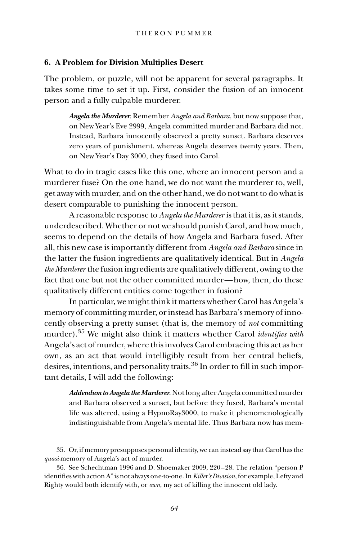#### 6. A Problem for Division Multiplies Desert

The problem, or puzzle, will not be apparent for several paragraphs. It takes some time to set it up. First, consider the fusion of an innocent person and a fully culpable murderer.

Angela the Murderer. Remember Angela and Barbara, but now suppose that, on New Year's Eve 2999, Angela committed murder and Barbara did not. Instead, Barbara innocently observed a pretty sunset. Barbara deserves zero years of punishment, whereas Angela deserves twenty years. Then, on New Year's Day 3000, they fused into Carol.

What to do in tragic cases like this one, where an innocent person and a murderer fuse? On the one hand, we do not want the murderer to, well, get away with murder, and on the other hand, we do not want to do what is desert comparable to punishing the innocent person.

A reasonable response to Angela the Murderer is that it is, as it stands, underdescribed. Whether or not we should punish Carol, and how much, seems to depend on the details of how Angela and Barbara fused. After all, this new case is importantly different from Angela and Barbara since in the latter the fusion ingredients are qualitatively identical. But in Angela the Murderer the fusion ingredients are qualitatively different, owing to the fact that one but not the other committed murder—how, then, do these qualitatively different entities come together in fusion?

In particular, we might think it matters whether Carol has Angela's memory of committing murder, or instead has Barbara's memory of innocently observing a pretty sunset (that is, the memory of not committing murder).<sup>35</sup> We might also think it matters whether Carol *identifies with* Angela's act of murder, where this involves Carol embracing this act as her own, as an act that would intelligibly result from her central beliefs, desires, intentions, and personality traits.<sup>36</sup> In order to fill in such important details, I will add the following:

Addendum to Angela the Murderer. Not long after Angela committed murder and Barbara observed a sunset, but before they fused, Barbara's mental life was altered, using a HypnoRay3000, to make it phenomenologically indistinguishable from Angela's mental life. Thus Barbara now has mem-

<sup>35.</sup> Or, if memory presupposes personal identity, we can instead say that Carol has the quasi-memory of Angela's act of murder.

<sup>36.</sup> See Schechtman 1996 and D. Shoemaker 2009, 220–28. The relation "person P identifies with action A" is not always one-to-one. In Killer's Division, for example, Lefty and Righty would both identify with, or own, my act of killing the innocent old lady.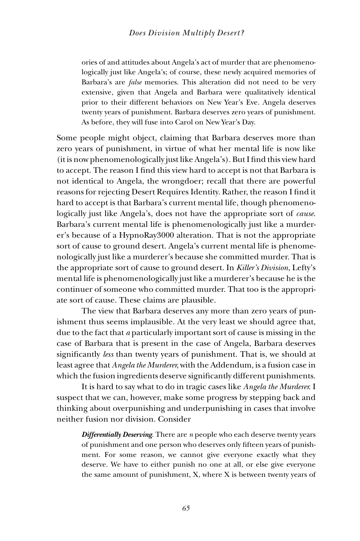ories of and attitudes about Angela's act of murder that are phenomenologically just like Angela's; of course, these newly acquired memories of Barbara's are *false* memories. This alteration did not need to be very extensive, given that Angela and Barbara were qualitatively identical prior to their different behaviors on New Year's Eve. Angela deserves twenty years of punishment. Barbara deserves zero years of punishment. As before, they will fuse into Carol on New Year's Day.

Some people might object, claiming that Barbara deserves more than zero years of punishment, in virtue of what her mental life is now like (it is now phenomenologically just like Angela's). But I find this view hard to accept. The reason I find this view hard to accept is not that Barbara is not identical to Angela, the wrongdoer; recall that there are powerful reasons for rejecting Desert Requires Identity. Rather, the reason I find it hard to accept is that Barbara's current mental life, though phenomenologically just like Angela's, does not have the appropriate sort of *cause*. Barbara's current mental life is phenomenologically just like a murderer's because of a HypnoRay3000 alteration. That is not the appropriate sort of cause to ground desert. Angela's current mental life is phenomenologically just like a murderer's because she committed murder. That is the appropriate sort of cause to ground desert. In Killer's Division, Lefty's mental life is phenomenologically just like a murderer's because he is the continuer of someone who committed murder. That too is the appropriate sort of cause. These claims are plausible.

The view that Barbara deserves any more than zero years of punishment thus seems implausible. At the very least we should agree that, due to the fact that a particularly important sort of cause is missing in the case of Barbara that is present in the case of Angela, Barbara deserves significantly less than twenty years of punishment. That is, we should at least agree that Angela the Murderer, with the Addendum, is a fusion case in which the fusion ingredients deserve significantly different punishments.

It is hard to say what to do in tragic cases like Angela the Murderer. I suspect that we can, however, make some progress by stepping back and thinking about overpunishing and underpunishing in cases that involve neither fusion nor division. Consider

Differentially Deserving. There are  $n$  people who each deserve twenty years of punishment and one person who deserves only fifteen years of punishment. For some reason, we cannot give everyone exactly what they deserve. We have to either punish no one at all, or else give everyone the same amount of punishment, X, where X is between twenty years of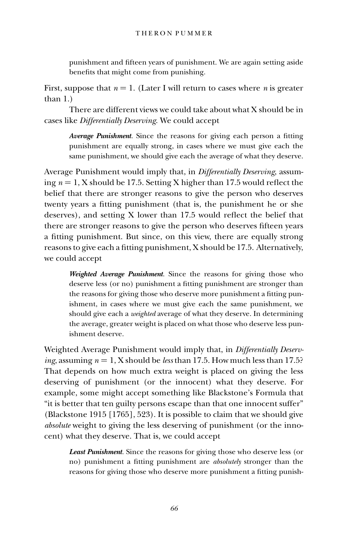punishment and fifteen years of punishment. We are again setting aside benefits that might come from punishing.

First, suppose that  $n = 1$ . (Later I will return to cases where *n* is greater than 1.)

There are different views we could take about what X should be in cases like Differentially Deserving. We could accept

Average Punishment. Since the reasons for giving each person a fitting punishment are equally strong, in cases where we must give each the same punishment, we should give each the average of what they deserve.

Average Punishment would imply that, in Differentially Deserving, assuming  $n = 1$ , X should be 17.5. Setting X higher than 17.5 would reflect the belief that there are stronger reasons to give the person who deserves twenty years a fitting punishment (that is, the punishment he or she deserves), and setting X lower than 17.5 would reflect the belief that there are stronger reasons to give the person who deserves fifteen years a fitting punishment. But since, on this view, there are equally strong reasons to give each a fitting punishment, X should be 17.5. Alternatively, we could accept

Weighted Average Punishment. Since the reasons for giving those who deserve less (or no) punishment a fitting punishment are stronger than the reasons for giving those who deserve more punishment a fitting punishment, in cases where we must give each the same punishment, we should give each a weighted average of what they deserve. In determining the average, greater weight is placed on what those who deserve less punishment deserve.

Weighted Average Punishment would imply that, in Differentially Deserving, assuming  $n = 1$ , X should be less than 17.5. How much less than 17.5? That depends on how much extra weight is placed on giving the less deserving of punishment (or the innocent) what they deserve. For example, some might accept something like Blackstone's Formula that "it is better that ten guilty persons escape than that one innocent suffer" (Blackstone 1915 [1765], 523). It is possible to claim that we should give absolute weight to giving the less deserving of punishment (or the innocent) what they deserve. That is, we could accept

Least Punishment. Since the reasons for giving those who deserve less (or no) punishment a fitting punishment are absolutely stronger than the reasons for giving those who deserve more punishment a fitting punish-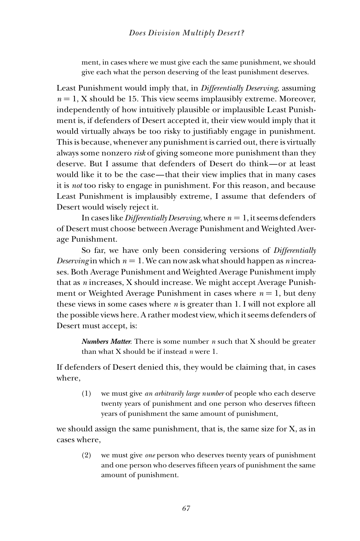ment, in cases where we must give each the same punishment, we should give each what the person deserving of the least punishment deserves.

Least Punishment would imply that, in Differentially Deserving, assuming  $n = 1$ , X should be 15. This view seems implausibly extreme. Moreover, independently of how intuitively plausible or implausible Least Punishment is, if defenders of Desert accepted it, their view would imply that it would virtually always be too risky to justifiably engage in punishment. This is because, whenever any punishment is carried out, there is virtually always some nonzero risk of giving someone more punishment than they deserve. But I assume that defenders of Desert do think—or at least would like it to be the case—that their view implies that in many cases it is not too risky to engage in punishment. For this reason, and because Least Punishment is implausibly extreme, I assume that defenders of Desert would wisely reject it.

In cases like *Differentially Deserving*, where  $n = 1$ , it seems defenders of Desert must choose between Average Punishment and Weighted Average Punishment.

So far, we have only been considering versions of Differentially Deserving in which  $n = 1$ . We can now ask what should happen as *n* increases. Both Average Punishment and Weighted Average Punishment imply that as n increases, X should increase. We might accept Average Punishment or Weighted Average Punishment in cases where  $n = 1$ , but deny these views in some cases where  $n$  is greater than 1. I will not explore all the possible views here. A rather modest view, which it seems defenders of Desert must accept, is:

**Numbers Matter.** There is some number  $n$  such that X should be greater than what X should be if instead  $n$  were 1.

If defenders of Desert denied this, they would be claiming that, in cases where,

(1) we must give an arbitrarily large number of people who each deserve twenty years of punishment and one person who deserves fifteen years of punishment the same amount of punishment,

we should assign the same punishment, that is, the same size for X, as in cases where,

(2) we must give one person who deserves twenty years of punishment and one person who deserves fifteen years of punishment the same amount of punishment.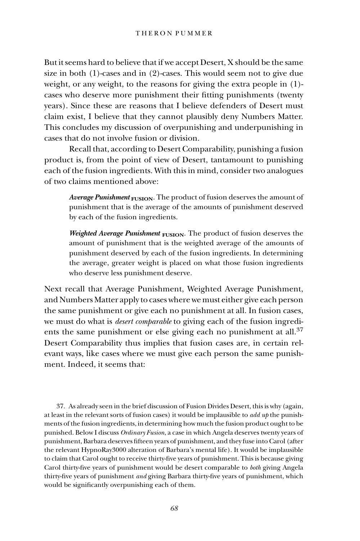But it seems hard to believe that if we accept Desert, X should be the same size in both (1)-cases and in (2)-cases. This would seem not to give due weight, or any weight, to the reasons for giving the extra people in (1) cases who deserve more punishment their fitting punishments (twenty years). Since these are reasons that I believe defenders of Desert must claim exist, I believe that they cannot plausibly deny Numbers Matter. This concludes my discussion of overpunishing and underpunishing in cases that do not involve fusion or division.

Recall that, according to Desert Comparability, punishing a fusion product is, from the point of view of Desert, tantamount to punishing each of the fusion ingredients. With this in mind, consider two analogues of two claims mentioned above:

Average Punishment FUSION. The product of fusion deserves the amount of punishment that is the average of the amounts of punishment deserved by each of the fusion ingredients.

Weighted Average Punishment  $_{\text{FUSION}}$ . The product of fusion deserves the amount of punishment that is the weighted average of the amounts of punishment deserved by each of the fusion ingredients. In determining the average, greater weight is placed on what those fusion ingredients who deserve less punishment deserve.

Next recall that Average Punishment, Weighted Average Punishment, and Numbers Matter apply to cases where we must either give each person the same punishment or give each no punishment at all. In fusion cases, we must do what is desert comparable to giving each of the fusion ingredients the same punishment or else giving each no punishment at all. $37$ Desert Comparability thus implies that fusion cases are, in certain relevant ways, like cases where we must give each person the same punishment. Indeed, it seems that:

37. As already seen in the brief discussion of Fusion Divides Desert, this is why (again, at least in the relevant sorts of fusion cases) it would be implausible to *add up* the punishments of the fusion ingredients, in determining how much the fusion product ought to be punished. Below I discuss Ordinary Fusion, a case in which Angela deserves twenty years of punishment, Barbara deserves fifteen years of punishment, and they fuse into Carol (after the relevant HypnoRay3000 alteration of Barbara's mental life). It would be implausible to claim that Carol ought to receive thirty-five years of punishment. This is because giving Carol thirty-five years of punishment would be desert comparable to both giving Angela thirty-five years of punishment and giving Barbara thirty-five years of punishment, which would be significantly overpunishing each of them.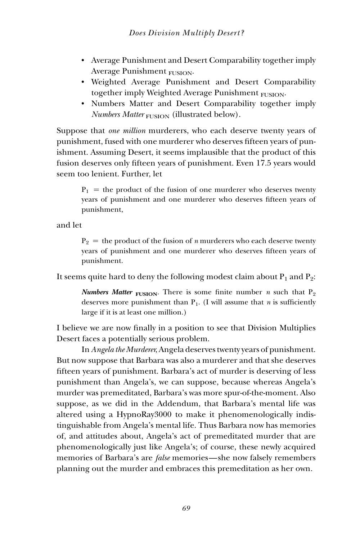- . Average Punishment and Desert Comparability together imply Average Punishment FUSION.
- . Weighted Average Punishment and Desert Comparability together imply Weighted Average Punishment FUSION.
- . Numbers Matter and Desert Comparability together imply Numbers Matter FUSION (illustrated below).

Suppose that one million murderers, who each deserve twenty years of punishment, fused with one murderer who deserves fifteen years of punishment. Assuming Desert, it seems implausible that the product of this fusion deserves only fifteen years of punishment. Even 17.5 years would seem too lenient. Further, let

 $P_1$  = the product of the fusion of one murderer who deserves twenty years of punishment and one murderer who deserves fifteen years of punishment,

and let

 $P_2$  = the product of the fusion of *n* murderers who each deserve twenty years of punishment and one murderer who deserves fifteen years of punishment.

It seems quite hard to deny the following modest claim about  $P_1$  and  $P_2$ :

Numbers Matter FUSION. There is some finite number *n* such that  $P_2$ deserves more punishment than  $P_1$ . (I will assume that *n* is sufficiently large if it is at least one million.)

I believe we are now finally in a position to see that Division Multiplies Desert faces a potentially serious problem.

In Angela the Murderer, Angela deserves twenty years of punishment. But now suppose that Barbara was also a murderer and that she deserves fifteen years of punishment. Barbara's act of murder is deserving of less punishment than Angela's, we can suppose, because whereas Angela's murder was premeditated, Barbara's was more spur-of-the-moment. Also suppose, as we did in the Addendum, that Barbara's mental life was altered using a HypnoRay3000 to make it phenomenologically indistinguishable from Angela's mental life. Thus Barbara now has memories of, and attitudes about, Angela's act of premeditated murder that are phenomenologically just like Angela's; of course, these newly acquired memories of Barbara's are false memories—she now falsely remembers planning out the murder and embraces this premeditation as her own.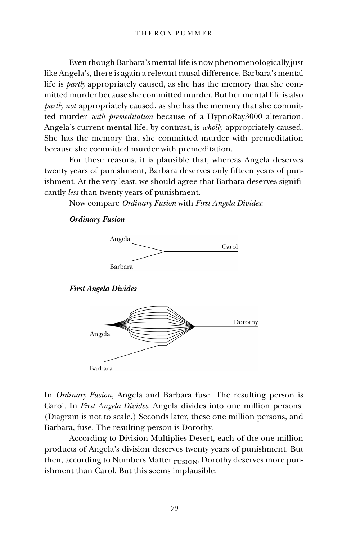Even though Barbara's mental life is now phenomenologically just like Angela's, there is again a relevant causal difference. Barbara's mental life is *partly* appropriately caused, as she has the memory that she committed murder because she committed murder. But her mental life is also partly not appropriately caused, as she has the memory that she committed murder with premeditation because of a HypnoRay3000 alteration. Angela's current mental life, by contrast, is wholly appropriately caused. She has the memory that she committed murder with premeditation because she committed murder with premeditation.

For these reasons, it is plausible that, whereas Angela deserves twenty years of punishment, Barbara deserves only fifteen years of punishment. At the very least, we should agree that Barbara deserves significantly less than twenty years of punishment.

Now compare Ordinary Fusion with First Angela Divides:

#### Ordinary Fusion



First Angela Divides



In *Ordinary Fusion*, Angela and Barbara fuse. The resulting person is Carol. In First Angela Divides, Angela divides into one million persons. (Diagram is not to scale.) Seconds later, these one million persons, and Barbara, fuse. The resulting person is Dorothy.

According to Division Multiplies Desert, each of the one million products of Angela's division deserves twenty years of punishment. But then, according to Numbers Matter FUSION, Dorothy deserves more punishment than Carol. But this seems implausible.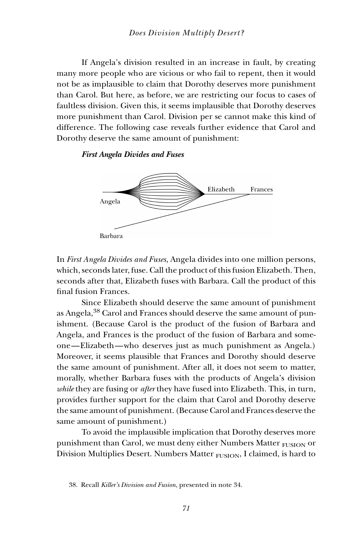If Angela's division resulted in an increase in fault, by creating many more people who are vicious or who fail to repent, then it would not be as implausible to claim that Dorothy deserves more punishment than Carol. But here, as before, we are restricting our focus to cases of faultless division. Given this, it seems implausible that Dorothy deserves more punishment than Carol. Division per se cannot make this kind of difference. The following case reveals further evidence that Carol and Dorothy deserve the same amount of punishment:

# First Angela Divides and Fuses



In First Angela Divides and Fuses, Angela divides into one million persons, which, seconds later, fuse. Call the product of this fusion Elizabeth. Then, seconds after that, Elizabeth fuses with Barbara. Call the product of this final fusion Frances.

Since Elizabeth should deserve the same amount of punishment as Angela,<sup>38</sup> Carol and Frances should deserve the same amount of punishment. (Because Carol is the product of the fusion of Barbara and Angela, and Frances is the product of the fusion of Barbara and someone—Elizabeth—who deserves just as much punishment as Angela.) Moreover, it seems plausible that Frances and Dorothy should deserve the same amount of punishment. After all, it does not seem to matter, morally, whether Barbara fuses with the products of Angela's division while they are fusing or *after* they have fused into Elizabeth. This, in turn, provides further support for the claim that Carol and Dorothy deserve the same amount of punishment. (Because Carol and Frances deserve the same amount of punishment.)

To avoid the implausible implication that Dorothy deserves more punishment than Carol, we must deny either Numbers Matter FUSION or Division Multiplies Desert. Numbers Matter  $_{\text{FUSION}}$ , I claimed, is hard to

<sup>38.</sup> Recall Killer's Division and Fusion, presented in note 34.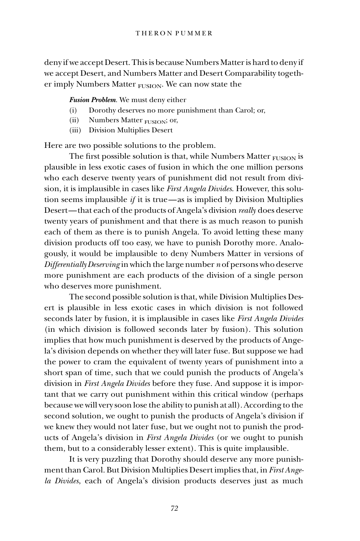deny if we accept Desert. This is because Numbers Matter is hard to deny if we accept Desert, and Numbers Matter and Desert Comparability together imply Numbers Matter FUSION. We can now state the

Fusion Problem. We must deny either

- (i) Dorothy deserves no more punishment than Carol; or,
- (ii) Numbers Matter  $_{\text{FUSION}}$ ; or,
- (iii) Division Multiplies Desert

Here are two possible solutions to the problem.

The first possible solution is that, while Numbers Matter  $_{\text{FUSION}}$  is plausible in less exotic cases of fusion in which the one million persons who each deserve twenty years of punishment did not result from division, it is implausible in cases like First Angela Divides. However, this solution seems implausible  $if$  it is true—as is implied by Division Multiplies Desert—that each of the products of Angela's division really does deserve twenty years of punishment and that there is as much reason to punish each of them as there is to punish Angela. To avoid letting these many division products off too easy, we have to punish Dorothy more. Analogously, it would be implausible to deny Numbers Matter in versions of Differentially Deserving in which the large number  $n$  of persons who deserve more punishment are each products of the division of a single person who deserves more punishment.

The second possible solution is that, while Division Multiplies Desert is plausible in less exotic cases in which division is not followed seconds later by fusion, it is implausible in cases like First Angela Divides (in which division is followed seconds later by fusion). This solution implies that how much punishment is deserved by the products of Angela's division depends on whether they will later fuse. But suppose we had the power to cram the equivalent of twenty years of punishment into a short span of time, such that we could punish the products of Angela's division in First Angela Divides before they fuse. And suppose it is important that we carry out punishment within this critical window (perhaps because we will very soon lose the ability to punish at all). According to the second solution, we ought to punish the products of Angela's division if we knew they would not later fuse, but we ought not to punish the products of Angela's division in First Angela Divides (or we ought to punish them, but to a considerably lesser extent). This is quite implausible.

It is very puzzling that Dorothy should deserve any more punishment than Carol. But Division Multiplies Desert implies that, in First Angela Divides, each of Angela's division products deserves just as much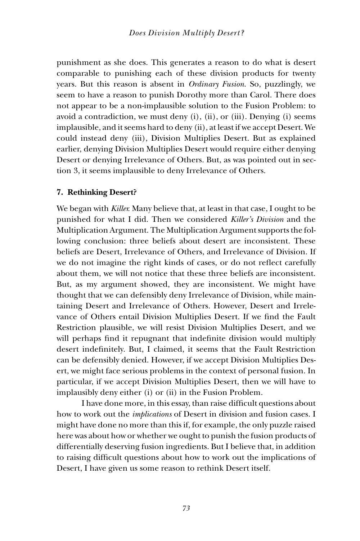punishment as she does. This generates a reason to do what is desert comparable to punishing each of these division products for twenty years. But this reason is absent in Ordinary Fusion. So, puzzlingly, we seem to have a reason to punish Dorothy more than Carol. There does not appear to be a non-implausible solution to the Fusion Problem: to avoid a contradiction, we must deny (i), (ii), or (iii). Denying (i) seems implausible, and it seems hard to deny (ii), at least if we accept Desert. We could instead deny (iii), Division Multiplies Desert. But as explained earlier, denying Division Multiplies Desert would require either denying Desert or denying Irrelevance of Others. But, as was pointed out in section 3, it seems implausible to deny Irrelevance of Others.

# 7. Rethinking Desert?

We began with Killer. Many believe that, at least in that case, I ought to be punished for what I did. Then we considered Killer's Division and the Multiplication Argument. The Multiplication Argument supports the following conclusion: three beliefs about desert are inconsistent. These beliefs are Desert, Irrelevance of Others, and Irrelevance of Division. If we do not imagine the right kinds of cases, or do not reflect carefully about them, we will not notice that these three beliefs are inconsistent. But, as my argument showed, they are inconsistent. We might have thought that we can defensibly deny Irrelevance of Division, while maintaining Desert and Irrelevance of Others. However, Desert and Irrelevance of Others entail Division Multiplies Desert. If we find the Fault Restriction plausible, we will resist Division Multiplies Desert, and we will perhaps find it repugnant that indefinite division would multiply desert indefinitely. But, I claimed, it seems that the Fault Restriction can be defensibly denied. However, if we accept Division Multiplies Desert, we might face serious problems in the context of personal fusion. In particular, if we accept Division Multiplies Desert, then we will have to implausibly deny either (i) or (ii) in the Fusion Problem.

I have done more, in this essay, than raise difficult questions about how to work out the implications of Desert in division and fusion cases. I might have done no more than this if, for example, the only puzzle raised here was about how or whether we ought to punish the fusion products of differentially deserving fusion ingredients. But I believe that, in addition to raising difficult questions about how to work out the implications of Desert, I have given us some reason to rethink Desert itself.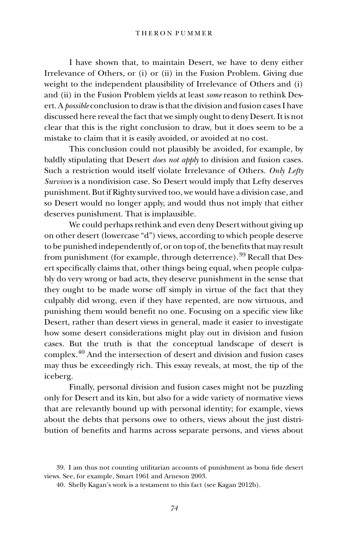I have shown that, to maintain Desert, we have to deny either Irrelevance of Others, or (i) or (ii) in the Fusion Problem. Giving due weight to the independent plausibility of Irrelevance of Others and (i) and (ii) in the Fusion Problem yields at least some reason to rethink Desert. A *possible* conclusion to draw is that the division and fusion cases I have discussed here reveal the fact that we simply ought to deny Desert. It is not clear that this is the right conclusion to draw, but it does seem to be a mistake to claim that it is easily avoided, or avoided at no cost.

This conclusion could not plausibly be avoided, for example, by baldly stipulating that Desert does not apply to division and fusion cases. Such a restriction would itself violate Irrelevance of Others. Only Lefty Survives is a nondivision case. So Desert would imply that Lefty deserves punishment. But if Righty survived too, we would have a division case, and so Desert would no longer apply, and would thus not imply that either deserves punishment. That is implausible.

We could perhaps rethink and even deny Desert without giving up on other desert (lowercase "d") views, according to which people deserve to be punished independently of, or on top of, the benefits that may result from punishment (for example, through deterrence).<sup>39</sup> Recall that Desert specifically claims that, other things being equal, when people culpably do very wrong or bad acts, they deserve punishment in the sense that they ought to be made worse off simply in virtue of the fact that they culpably did wrong, even if they have repented, are now virtuous, and punishing them would benefit no one. Focusing on a specific view like Desert, rather than desert views in general, made it easier to investigate how some desert considerations might play out in division and fusion cases. But the truth is that the conceptual landscape of desert is complex.<sup>40</sup> And the intersection of desert and division and fusion cases may thus be exceedingly rich. This essay reveals, at most, the tip of the iceberg.

Finally, personal division and fusion cases might not be puzzling only for Desert and its kin, but also for a wide variety of normative views that are relevantly bound up with personal identity; for example, views about the debts that persons owe to others, views about the just distribution of benefits and harms across separate persons, and views about

<sup>39.</sup> I am thus not counting utilitarian accounts of punishment as bona fide desert views. See, for example, Smart 1961 and Arneson 2003.

<sup>40.</sup> Shelly Kagan's work is a testament to this fact (see Kagan 2012b).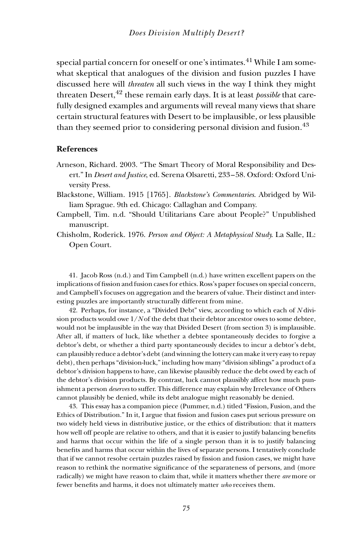special partial concern for oneself or one's intimates.<sup>41</sup> While I am somewhat skeptical that analogues of the division and fusion puzzles I have discussed here will threaten all such views in the way I think they might threaten Desert,  $42$  these remain early days. It is at least *possible* that carefully designed examples and arguments will reveal many views that share certain structural features with Desert to be implausible, or less plausible than they seemed prior to considering personal division and fusion.<sup>43</sup>

## References

- Arneson, Richard. 2003. "The Smart Theory of Moral Responsibility and Desert." In Desert and Justice, ed. Serena Olsaretti, 233–58. Oxford: Oxford University Press.
- Blackstone, William. 1915 [1765]. Blackstone's Commentaries. Abridged by William Sprague. 9th ed. Chicago: Callaghan and Company.
- Campbell, Tim. n.d. "Should Utilitarians Care about People?" Unpublished manuscript.
- Chisholm, Roderick. 1976. Person and Object: A Metaphysical Study. La Salle, IL: Open Court.

41. Jacob Ross (n.d.) and Tim Campbell (n.d.) have written excellent papers on the implications of fission and fusion cases for ethics. Ross's paper focuses on special concern, and Campbell's focuses on aggregation and the bearers of value. Their distinct and interesting puzzles are importantly structurally different from mine.

42. Perhaps, for instance, a "Divided Debt" view, according to which each of N division products would owe  $1/N$  of the debt that their debtor ancestor owes to some debtee, would not be implausible in the way that Divided Desert (from section 3) is implausible. After all, if matters of luck, like whether a debtee spontaneously decides to forgive a debtor's debt, or whether a third party spontaneously decides to incur a debtor's debt, can plausibly reduce a debtor's debt (and winning the lottery can make it very easy to repay debt), then perhaps "division-luck," including how many "division siblings" a product of a debtor's division happens to have, can likewise plausibly reduce the debt owed by each of the debtor's division products. By contrast, luck cannot plausibly affect how much punishment a person deserves to suffer. This difference may explain why Irrelevance of Others cannot plausibly be denied, while its debt analogue might reasonably be denied.

43. This essay has a companion piece (Pummer, n.d.) titled "Fission, Fusion, and the Ethics of Distribution." In it, I argue that fission and fusion cases put serious pressure on two widely held views in distributive justice, or the ethics of distribution: that it matters how well off people are relative to others, and that it is easier to justify balancing benefits and harms that occur within the life of a single person than it is to justify balancing benefits and harms that occur within the lives of separate persons. I tentatively conclude that if we cannot resolve certain puzzles raised by fission and fusion cases, we might have reason to rethink the normative significance of the separateness of persons, and (more radically) we might have reason to claim that, while it matters whether there are more or fewer benefits and harms, it does not ultimately matter who receives them.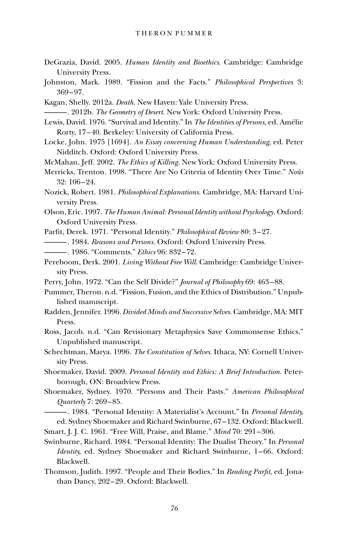- DeGrazia, David. 2005. Human Identity and Bioethics. Cambridge: Cambridge University Press.
- Johnston, Mark. 1989. "Fission and the Facts." Philosophical Perspectives 3: 369–97.
- Kagan, Shelly. 2012a. Death. New Haven: Yale University Press.

- . 2012b. The Geometry of Desert. New York: Oxford University Press.

- Lewis, David. 1976. "Survival and Identity." In The Identities of Persons, ed. Amélie Rorty, 17–40. Berkeley: University of California Press.
- Locke, John. 1975 [1694]. An Essay concerning Human Understanding, ed. Peter Nidditch. Oxford: Oxford University Press.
- McMahan, Jeff. 2002. The Ethics of Killing. New York: Oxford University Press.
- Merricks, Trenton. 1998. "There Are No Criteria of Identity Over Time." Noûs 32: 106–24.

Nozick, Robert. 1981. Philosophical Explanations. Cambridge, MA: Harvard University Press.

Olson, Eric. 1997. The Human Animal: Personal Identity without Psychology. Oxford: Oxford University Press.

Parfit, Derek. 1971. "Personal Identity." Philosophical Review 80: 3-27.

**-------** 1984. *Reasons and Persons*. Oxford: Oxford University Press.

———. 1986. "Comments." Ethics 96: 832-72.

Pereboom, Derk. 2001. Living Without Free Will. Cambridge: Cambridge University Press.

- Perry, John. 1972. "Can the Self Divide?" Journal of Philosophy 69: 463-88.
- Pummer, Theron. n.d. "Fission, Fusion, and the Ethics of Distribution." Unpublished manuscript.

Radden, Jennifer. 1996. Divided Minds and Successive Selves. Cambridge, MA: MIT Press.

Ross, Jacob. n.d. "Can Revisionary Metaphysics Save Commonsense Ethics." Unpublished manuscript.

Schechtman, Marya. 1996. The Constitution of Selves. Ithaca, NY: Cornell University Press.

Shoemaker, David. 2009. Personal Identity and Ethics: A Brief Introduction. Peterborough, ON: Broadview Press.

Shoemaker, Sydney. 1970. "Persons and Their Pasts." American Philosophical Quarterly 7: 269–85.

-. 1984. "Personal Identity: A Materialist's Account." In Personal Identity, ed. Sydney Shoemaker and Richard Swinburne, 67–132. Oxford: Blackwell.

Smart, J. J. C. 1961. "Free Will, Praise, and Blame." Mind 70: 291–306.

Swinburne, Richard. 1984. "Personal Identity: The Dualist Theory." In Personal Identity, ed. Sydney Shoemaker and Richard Swinburne, 1–66. Oxford: Blackwell.

Thomson, Judith. 1997. "People and Their Bodies." In Reading Parfit, ed. Jonathan Dancy, 202–29. Oxford: Blackwell.